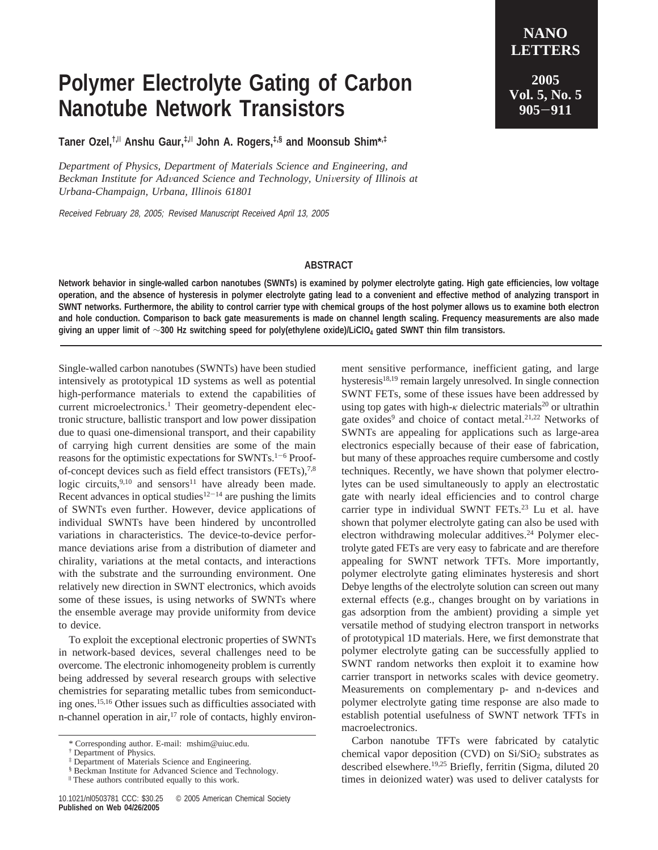## **Polymer Electrolyte Gating of Carbon Nanotube Network Transistors**

**Taner Ozel,†,**<sup>|</sup> **Anshu Gaur,‡,**<sup>|</sup> **John A. Rogers,‡,§ and Moonsub Shim\*,‡**

*Department of Physics, Department of Materials Science and Engineering, and Beckman Institute for Advanced Science and Technology, University of Illinois at Urbana-Champaign, Urbana, Illinois 61801*

Received February 28, 2005; Revised Manuscript Received April 13, 2005

## **ABSTRACT**

**Network behavior in single-walled carbon nanotubes (SWNTs) is examined by polymer electrolyte gating. High gate efficiencies, low voltage operation, and the absence of hysteresis in polymer electrolyte gating lead to a convenient and effective method of analyzing transport in SWNT networks. Furthermore, the ability to control carrier type with chemical groups of the host polymer allows us to examine both electron and hole conduction. Comparison to back gate measurements is made on channel length scaling. Frequency measurements are also made giving an upper limit of** ∼**300 Hz switching speed for poly(ethylene oxide)/LiClO4 gated SWNT thin film transistors.**

Single-walled carbon nanotubes (SWNTs) have been studied intensively as prototypical 1D systems as well as potential high-performance materials to extend the capabilities of current microelectronics.<sup>1</sup> Their geometry-dependent electronic structure, ballistic transport and low power dissipation due to quasi one-dimensional transport, and their capability of carrying high current densities are some of the main reasons for the optimistic expectations for SWNTs.1-<sup>6</sup> Proofof-concept devices such as field effect transistors (FETs),<sup>7,8</sup> logic circuits,  $9,10$  and sensors<sup>11</sup> have already been made. Recent advances in optical studies $12-14$  are pushing the limits of SWNTs even further. However, device applications of individual SWNTs have been hindered by uncontrolled variations in characteristics. The device-to-device performance deviations arise from a distribution of diameter and chirality, variations at the metal contacts, and interactions with the substrate and the surrounding environment. One relatively new direction in SWNT electronics, which avoids some of these issues, is using networks of SWNTs where the ensemble average may provide uniformity from device to device.

To exploit the exceptional electronic properties of SWNTs in network-based devices, several challenges need to be overcome. The electronic inhomogeneity problem is currently being addressed by several research groups with selective chemistries for separating metallic tubes from semiconducting ones.15,16 Other issues such as difficulties associated with n-channel operation in air, $^{17}$  role of contacts, highly environment sensitive performance, inefficient gating, and large hysteresis<sup>18,19</sup> remain largely unresolved. In single connection SWNT FETs, some of these issues have been addressed by using top gates with high- $\kappa$  dielectric materials<sup>20</sup> or ultrathin gate oxides<sup>9</sup> and choice of contact metal.<sup>21,22</sup> Networks of SWNTs are appealing for applications such as large-area electronics especially because of their ease of fabrication, but many of these approaches require cumbersome and costly techniques. Recently, we have shown that polymer electrolytes can be used simultaneously to apply an electrostatic gate with nearly ideal efficiencies and to control charge carrier type in individual SWNT FETs.<sup>23</sup> Lu et al. have shown that polymer electrolyte gating can also be used with electron withdrawing molecular additives.<sup>24</sup> Polymer electrolyte gated FETs are very easy to fabricate and are therefore appealing for SWNT network TFTs. More importantly, polymer electrolyte gating eliminates hysteresis and short Debye lengths of the electrolyte solution can screen out many external effects (e.g., changes brought on by variations in gas adsorption from the ambient) providing a simple yet versatile method of studying electron transport in networks of prototypical 1D materials. Here, we first demonstrate that polymer electrolyte gating can be successfully applied to SWNT random networks then exploit it to examine how carrier transport in networks scales with device geometry. Measurements on complementary p- and n-devices and polymer electrolyte gating time response are also made to establish potential usefulness of SWNT network TFTs in macroelectronics.

Carbon nanotube TFTs were fabricated by catalytic chemical vapor deposition (CVD) on  $Si/SiO<sub>2</sub>$  substrates as described elsewhere.<sup>19,25</sup> Briefly, ferritin (Sigma, diluted 20 times in deionized water) was used to deliver catalysts for

<sup>\*</sup> Corresponding author. E-mail: mshim@uiuc.edu.

<sup>†</sup> Department of Physics.

<sup>‡</sup> Department of Materials Science and Engineering. § Beckman Institute for Advanced Science and Technology.

<sup>|</sup> These authors contributed equally to this work.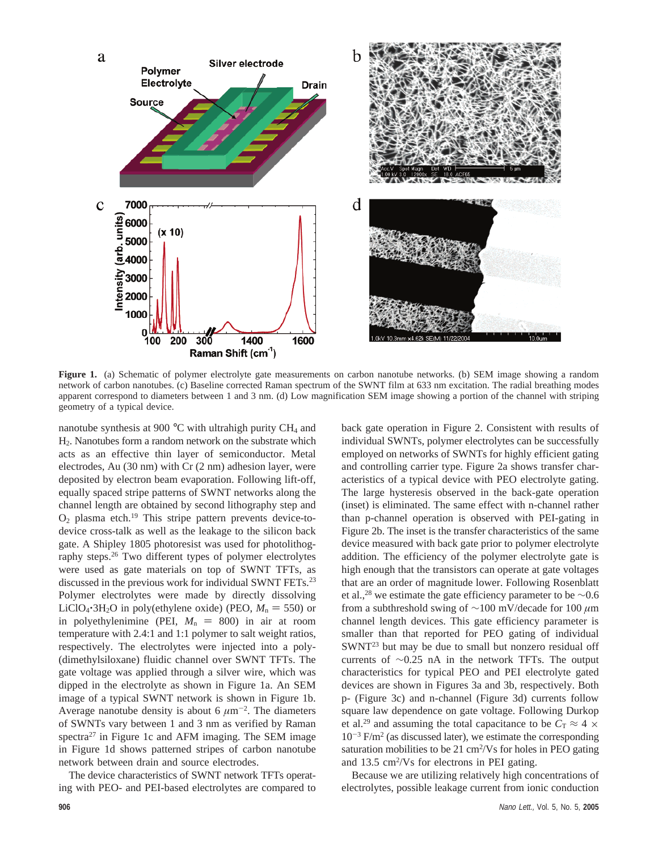

**Figure 1.** (a) Schematic of polymer electrolyte gate measurements on carbon nanotube networks. (b) SEM image showing a random network of carbon nanotubes. (c) Baseline corrected Raman spectrum of the SWNT film at 633 nm excitation. The radial breathing modes apparent correspond to diameters between 1 and 3 nm. (d) Low magnification SEM image showing a portion of the channel with striping geometry of a typical device.

nanotube synthesis at 900 $\degree$ C with ultrahigh purity CH<sub>4</sub> and H2. Nanotubes form a random network on the substrate which acts as an effective thin layer of semiconductor. Metal electrodes, Au (30 nm) with Cr (2 nm) adhesion layer, were deposited by electron beam evaporation. Following lift-off, equally spaced stripe patterns of SWNT networks along the channel length are obtained by second lithography step and  $O<sub>2</sub>$  plasma etch.<sup>19</sup> This stripe pattern prevents device-todevice cross-talk as well as the leakage to the silicon back gate. A Shipley 1805 photoresist was used for photolithography steps.26 Two different types of polymer electrolytes were used as gate materials on top of SWNT TFTs, as discussed in the previous work for individual SWNT FETs.<sup>23</sup> Polymer electrolytes were made by directly dissolving LiClO<sub>4</sub> $\cdot$ 3H<sub>2</sub>O in poly(ethylene oxide) (PEO,  $M_n = 550$ ) or in polyethylenimine (PEI,  $M_n = 800$ ) in air at room temperature with 2.4:1 and 1:1 polymer to salt weight ratios, respectively. The electrolytes were injected into a poly- (dimethylsiloxane) fluidic channel over SWNT TFTs. The gate voltage was applied through a silver wire, which was dipped in the electrolyte as shown in Figure 1a. An SEM image of a typical SWNT network is shown in Figure 1b. Average nanotube density is about 6  $\mu$ m<sup>-2</sup>. The diameters of SWNTs vary between 1 and 3 nm as verified by Raman spectra $27$  in Figure 1c and AFM imaging. The SEM image in Figure 1d shows patterned stripes of carbon nanotube network between drain and source electrodes.

The device characteristics of SWNT network TFTs operating with PEO- and PEI-based electrolytes are compared to back gate operation in Figure 2. Consistent with results of individual SWNTs, polymer electrolytes can be successfully employed on networks of SWNTs for highly efficient gating and controlling carrier type. Figure 2a shows transfer characteristics of a typical device with PEO electrolyte gating. The large hysteresis observed in the back-gate operation (inset) is eliminated. The same effect with n-channel rather than p-channel operation is observed with PEI-gating in Figure 2b. The inset is the transfer characteristics of the same device measured with back gate prior to polymer electrolyte addition. The efficiency of the polymer electrolyte gate is high enough that the transistors can operate at gate voltages that are an order of magnitude lower. Following Rosenblatt et al.,<sup>28</sup> we estimate the gate efficiency parameter to be  $\sim$ 0.6 from a subthreshold swing of ∼100 mV/decade for 100 *µ*m channel length devices. This gate efficiency parameter is smaller than that reported for PEO gating of individual SWNT<sup>23</sup> but may be due to small but nonzero residual off currents of ∼0.25 nA in the network TFTs. The output characteristics for typical PEO and PEI electrolyte gated devices are shown in Figures 3a and 3b, respectively. Both p- (Figure 3c) and n-channel (Figure 3d) currents follow square law dependence on gate voltage. Following Durkop et al.<sup>29</sup> and assuming the total capacitance to be  $C_T \approx 4 \times$  $10^{-3}$  F/m<sup>2</sup> (as discussed later), we estimate the corresponding saturation mobilities to be 21 cm<sup>2</sup>/Vs for holes in PEO gating and 13.5 cm<sup>2</sup>/Vs for electrons in PEI gating.

Because we are utilizing relatively high concentrations of electrolytes, possible leakage current from ionic conduction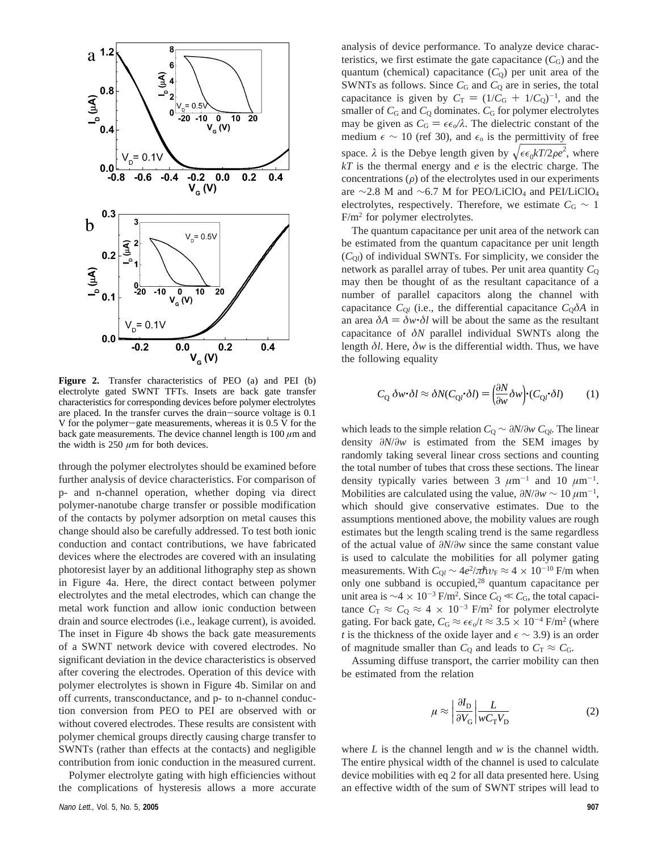

**Figure 2.** Transfer characteristics of PEO (a) and PEI (b) electrolyte gated SWNT TFTs. Insets are back gate transfer characteristics for corresponding devices before polymer electrolytes are placed. In the transfer curves the drain-source voltage is 0.1 V for the polymer-gate measurements, whereas it is 0.5 V for the back gate measurements. The device channel length is  $100 \mu m$  and the width is  $250 \mu m$  for both devices.

through the polymer electrolytes should be examined before further analysis of device characteristics. For comparison of p- and n-channel operation, whether doping via direct polymer-nanotube charge transfer or possible modification of the contacts by polymer adsorption on metal causes this change should also be carefully addressed. To test both ionic conduction and contact contributions, we have fabricated devices where the electrodes are covered with an insulating photoresist layer by an additional lithography step as shown in Figure 4a. Here, the direct contact between polymer electrolytes and the metal electrodes, which can change the metal work function and allow ionic conduction between drain and source electrodes (i.e., leakage current), is avoided. The inset in Figure 4b shows the back gate measurements of a SWNT network device with covered electrodes. No significant deviation in the device characteristics is observed after covering the electrodes. Operation of this device with polymer electrolytes is shown in Figure 4b. Similar on and off currents, transconductance, and p- to n-channel conduction conversion from PEO to PEI are observed with or without covered electrodes. These results are consistent with polymer chemical groups directly causing charge transfer to SWNTs (rather than effects at the contacts) and negligible contribution from ionic conduction in the measured current.

Polymer electrolyte gating with high efficiencies without the complications of hysteresis allows a more accurate

analysis of device performance. To analyze device characteristics, we first estimate the gate capacitance  $(C_G)$  and the quantum (chemical) capacitance  $(C_0)$  per unit area of the SWNTs as follows. Since  $C_G$  and  $C_Q$  are in series, the total capacitance is given by  $C_T = (1/C_G + 1/C_Q)^{-1}$ , and the smaller of  $C_2$  and  $C_2$  dominates  $C_2$  for polymer electrolytes smaller of  $C_G$  and  $C_Q$  dominates.  $C_G$  for polymer electrolytes may be given as  $C_G = \epsilon \epsilon_0 / \lambda$ . The dielectric constant of the medium  $\epsilon \sim 10$  (ref 30), and  $\epsilon_0$  is the permittivity of free space.  $\lambda$  is the Debye length given by  $\sqrt{\epsilon \epsilon_0 kT/2\rho e^2}$ , where  $kT$  is the thermal energy and e is the electric charge. The *kT* is the thermal energy and *e* is the electric charge. The concentrations  $(\rho)$  of the electrolytes used in our experiments are ∼2.8 M and ∼6.7 M for PEO/LiClO<sub>4</sub> and PEI/LiClO<sub>4</sub> electrolytes, respectively. Therefore, we estimate  $C_G \sim 1$  $F/m<sup>2</sup>$  for polymer electrolytes.

The quantum capacitance per unit area of the network can be estimated from the quantum capacitance per unit length  $(C<sub>O</sub>)$  of individual SWNTs. For simplicity, we consider the network as parallel array of tubes. Per unit area quantity  $C_0$ may then be thought of as the resultant capacitance of a number of parallel capacitors along the channel with capacitance  $C_{Q}$  (i.e., the differential capacitance  $C_{Q} \delta A$  in an area  $\delta A = \delta w \cdot \delta l$  will be about the same as the resultant capacitance of *δN* parallel individual SWNTs along the length *δl*. Here, *δw* is the differential width. Thus, we have the following equality

$$
C_{Q} \, \delta w \cdot \delta l \approx \delta N(C_{Ql} \cdot \delta l) = \left(\frac{\partial N}{\partial w} \delta w\right) \cdot (C_{Ql} \cdot \delta l) \tag{1}
$$

which leads to the simple relation  $C_Q \sim \partial N/\partial w$   $C_{Q}$ . The linear density *∂N*/*∂w* is estimated from the SEM images by randomly taking several linear cross sections and counting the total number of tubes that cross these sections. The linear density typically varies between 3  $\mu$ m<sup>-1</sup> and 10  $\mu$ m<sup>-1</sup>. Mobilities are calculated using the value,  $\partial N/\partial w \sim 10 \,\mu\text{m}^{-1}$ , which should give conservative estimates. Due to the assumptions mentioned above, the mobility values are rough estimates but the length scaling trend is the same regardless of the actual value of *∂N*/*∂w* since the same constant value is used to calculate the mobilities for all polymer gating measurements. With  $C_{Ql} \sim 4e^2/\pi\hbar v_F \approx 4 \times 10^{-10}$  F/m when only one subband is occupied,<sup>28</sup> quantum capacitance per unit area is ~4 × 10<sup>-3</sup> F/m<sup>2</sup>. Since  $C_Q \ll C_G$ , the total capacitance  $C_R \approx C_2 \approx 4 \times 10^{-3}$  F/m<sup>2</sup> for notymer electrolyte tance  $C_T \approx C_Q \approx 4 \times 10^{-3}$  F/m<sup>2</sup> for polymer electrolyte gating. For back gate,  $C_G \approx \epsilon \epsilon_0 / t \approx 3.5 \times 10^{-4}$  F/m<sup>2</sup> (where *t* is the thickness of the oxide layer and  $\epsilon \sim 3.9$ ) is an order of magnitude smaller than  $C_Q$  and leads to  $C_T \approx C_G$ .

Assuming diffuse transport, the carrier mobility can then be estimated from the relation

$$
\mu \approx \left| \frac{\partial I_{\rm D}}{\partial V_{\rm G}} \right| \frac{L}{w C_{\rm T} V_{\rm D}} \tag{2}
$$

where *L* is the channel length and *w* is the channel width. The entire physical width of the channel is used to calculate device mobilities with eq 2 for all data presented here. Using an effective width of the sum of SWNT stripes will lead to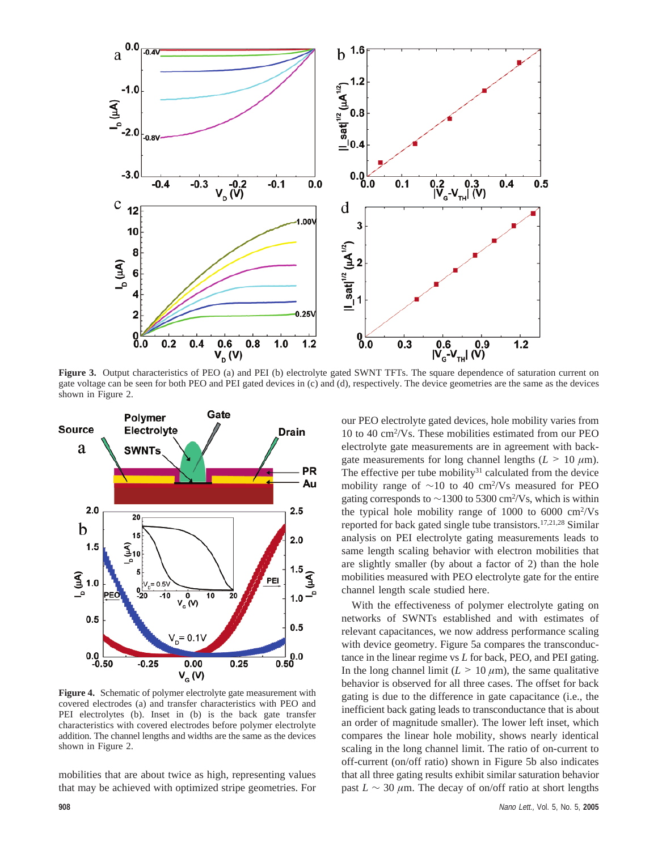

**Figure 3.** Output characteristics of PEO (a) and PEI (b) electrolyte gated SWNT TFTs. The square dependence of saturation current on gate voltage can be seen for both PEO and PEI gated devices in (c) and (d), respectively. The device geometries are the same as the devices shown in Figure 2.



**Figure 4.** Schematic of polymer electrolyte gate measurement with covered electrodes (a) and transfer characteristics with PEO and PEI electrolytes (b). Inset in (b) is the back gate transfer characteristics with covered electrodes before polymer electrolyte addition. The channel lengths and widths are the same as the devices shown in Figure 2.

mobilities that are about twice as high, representing values that may be achieved with optimized stripe geometries. For

our PEO electrolyte gated devices, hole mobility varies from 10 to 40 cm2 /Vs. These mobilities estimated from our PEO electrolyte gate measurements are in agreement with backgate measurements for long channel lengths  $(L > 10 \mu m)$ . The effective per tube mobility<sup>31</sup> calculated from the device mobility range of  $\sim$ 10 to 40 cm<sup>2</sup>/Vs measured for PEO gating corresponds to  $\sim$ 1300 to 5300 cm<sup>2</sup>/Vs, which is within the typical hole mobility range of  $1000$  to  $6000 \text{ cm}^2/\text{Vs}$ reported for back gated single tube transistors.17,21,28 Similar analysis on PEI electrolyte gating measurements leads to same length scaling behavior with electron mobilities that are slightly smaller (by about a factor of 2) than the hole mobilities measured with PEO electrolyte gate for the entire channel length scale studied here.

With the effectiveness of polymer electrolyte gating on networks of SWNTs established and with estimates of relevant capacitances, we now address performance scaling with device geometry. Figure 5a compares the transconductance in the linear regime vs *L* for back, PEO, and PEI gating. In the long channel limit  $(L > 10 \mu m)$ , the same qualitative behavior is observed for all three cases. The offset for back gating is due to the difference in gate capacitance (i.e., the inefficient back gating leads to transconductance that is about an order of magnitude smaller). The lower left inset, which compares the linear hole mobility, shows nearly identical scaling in the long channel limit. The ratio of on-current to off-current (on/off ratio) shown in Figure 5b also indicates that all three gating results exhibit similar saturation behavior past  $L \sim 30 \ \mu \text{m}$ . The decay of on/off ratio at short lengths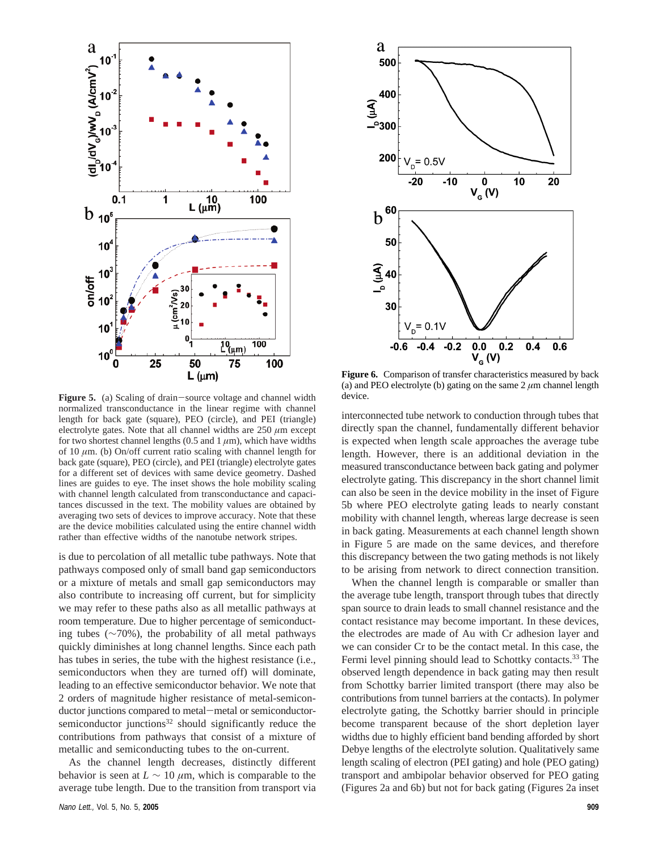

Figure 5. (a) Scaling of drain-source voltage and channel width normalized transconductance in the linear regime with channel length for back gate (square), PEO (circle), and PEI (triangle) electrolyte gates. Note that all channel widths are  $250 \ \mu m$  except for two shortest channel lengths (0.5 and  $1 \mu m$ ), which have widths of 10 *µ*m. (b) On/off current ratio scaling with channel length for back gate (square), PEO (circle), and PEI (triangle) electrolyte gates for a different set of devices with same device geometry. Dashed lines are guides to eye. The inset shows the hole mobility scaling with channel length calculated from transconductance and capacitances discussed in the text. The mobility values are obtained by averaging two sets of devices to improve accuracy. Note that these are the device mobilities calculated using the entire channel width rather than effective widths of the nanotube network stripes.

is due to percolation of all metallic tube pathways. Note that pathways composed only of small band gap semiconductors or a mixture of metals and small gap semiconductors may also contribute to increasing off current, but for simplicity we may refer to these paths also as all metallic pathways at room temperature. Due to higher percentage of semiconducting tubes (∼70%), the probability of all metal pathways quickly diminishes at long channel lengths. Since each path has tubes in series, the tube with the highest resistance (i.e., semiconductors when they are turned off) will dominate, leading to an effective semiconductor behavior. We note that 2 orders of magnitude higher resistance of metal-semiconductor junctions compared to metal-metal or semiconductorsemiconductor junctions<sup>32</sup> should significantly reduce the contributions from pathways that consist of a mixture of metallic and semiconducting tubes to the on-current.

As the channel length decreases, distinctly different behavior is seen at  $L \sim 10 \ \mu \text{m}$ , which is comparable to the average tube length. Due to the transition from transport via



**Figure 6.** Comparison of transfer characteristics measured by back (a) and PEO electrolyte (b) gating on the same  $2 \mu$ m channel length device.

interconnected tube network to conduction through tubes that directly span the channel, fundamentally different behavior is expected when length scale approaches the average tube length. However, there is an additional deviation in the measured transconductance between back gating and polymer electrolyte gating. This discrepancy in the short channel limit can also be seen in the device mobility in the inset of Figure 5b where PEO electrolyte gating leads to nearly constant mobility with channel length, whereas large decrease is seen in back gating. Measurements at each channel length shown in Figure 5 are made on the same devices, and therefore this discrepancy between the two gating methods is not likely to be arising from network to direct connection transition.

When the channel length is comparable or smaller than the average tube length, transport through tubes that directly span source to drain leads to small channel resistance and the contact resistance may become important. In these devices, the electrodes are made of Au with Cr adhesion layer and we can consider Cr to be the contact metal. In this case, the Fermi level pinning should lead to Schottky contacts.<sup>33</sup> The observed length dependence in back gating may then result from Schottky barrier limited transport (there may also be contributions from tunnel barriers at the contacts). In polymer electrolyte gating, the Schottky barrier should in principle become transparent because of the short depletion layer widths due to highly efficient band bending afforded by short Debye lengths of the electrolyte solution. Qualitatively same length scaling of electron (PEI gating) and hole (PEO gating) transport and ambipolar behavior observed for PEO gating (Figures 2a and 6b) but not for back gating (Figures 2a inset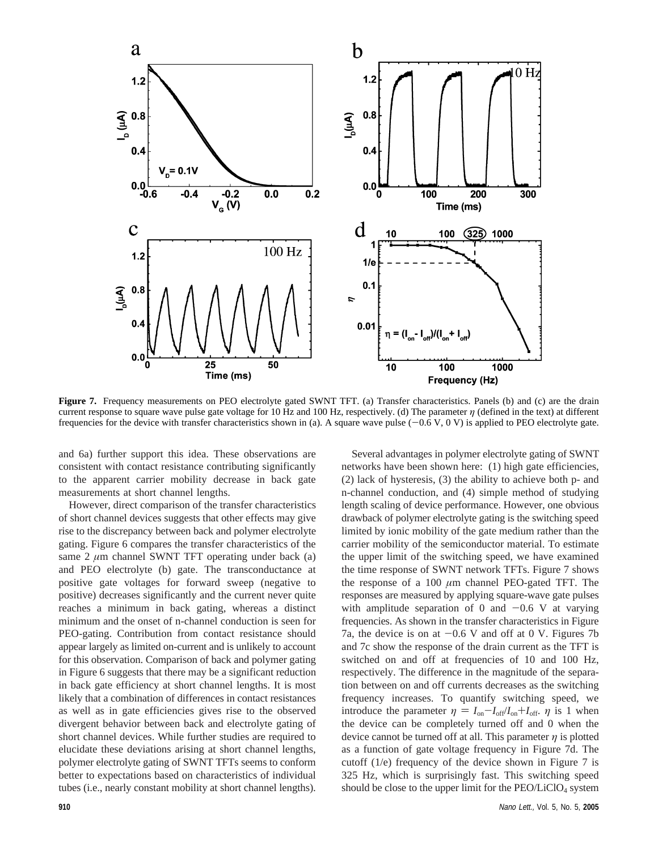

Figure 7. Frequency measurements on PEO electrolyte gated SWNT TFT. (a) Transfer characteristics. Panels (b) and (c) are the drain current response to square wave pulse gate voltage for 10 Hz and 100 Hz, respectively. (d) The parameter *η* (defined in the text) at different frequencies for the device with transfer characteristics shown in (a). A square wave pulse  $(-0.6 V, 0 V)$  is applied to PEO electrolyte gate.

and 6a) further support this idea. These observations are consistent with contact resistance contributing significantly to the apparent carrier mobility decrease in back gate measurements at short channel lengths.

However, direct comparison of the transfer characteristics of short channel devices suggests that other effects may give rise to the discrepancy between back and polymer electrolyte gating. Figure 6 compares the transfer characteristics of the same 2 *µ*m channel SWNT TFT operating under back (a) and PEO electrolyte (b) gate. The transconductance at positive gate voltages for forward sweep (negative to positive) decreases significantly and the current never quite reaches a minimum in back gating, whereas a distinct minimum and the onset of n-channel conduction is seen for PEO-gating. Contribution from contact resistance should appear largely as limited on-current and is unlikely to account for this observation. Comparison of back and polymer gating in Figure 6 suggests that there may be a significant reduction in back gate efficiency at short channel lengths. It is most likely that a combination of differences in contact resistances as well as in gate efficiencies gives rise to the observed divergent behavior between back and electrolyte gating of short channel devices. While further studies are required to elucidate these deviations arising at short channel lengths, polymer electrolyte gating of SWNT TFTs seems to conform better to expectations based on characteristics of individual tubes (i.e., nearly constant mobility at short channel lengths).

Several advantages in polymer electrolyte gating of SWNT networks have been shown here: (1) high gate efficiencies, (2) lack of hysteresis, (3) the ability to achieve both p- and n-channel conduction, and (4) simple method of studying length scaling of device performance. However, one obvious drawback of polymer electrolyte gating is the switching speed limited by ionic mobility of the gate medium rather than the carrier mobility of the semiconductor material. To estimate the upper limit of the switching speed, we have examined the time response of SWNT network TFTs. Figure 7 shows the response of a 100 *µ*m channel PEO-gated TFT. The responses are measured by applying square-wave gate pulses with amplitude separation of 0 and  $-0.6$  V at varying frequencies. As shown in the transfer characteristics in Figure 7a, the device is on at  $-0.6$  V and off at 0 V. Figures 7b and 7c show the response of the drain current as the TFT is switched on and off at frequencies of 10 and 100 Hz, respectively. The difference in the magnitude of the separation between on and off currents decreases as the switching frequency increases. To quantify switching speed, we introduce the parameter  $\eta = I_{on} - I_{off}/I_{on} + I_{off}$ . *η* is 1 when the device can be completely turned off and 0 when the device cannot be turned off at all. This parameter *η* is plotted as a function of gate voltage frequency in Figure 7d. The cutoff (1/e) frequency of the device shown in Figure 7 is 325 Hz, which is surprisingly fast. This switching speed should be close to the upper limit for the  $PEO/LiClO<sub>4</sub>$  system